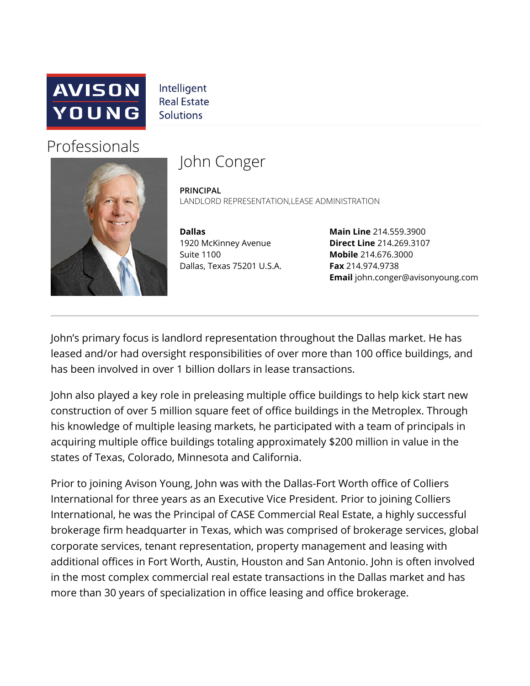

Intelligent **Real Estate Solutions** 

## Professionals



## John Conger

**PRINCIPAL** LANDLORD REPRESENTATION, LEASE ADMINISTRATION

**Dallas**  1920 McKinney Avenue Suite 1100 Dallas, Texas 75201 U.S.A.

**Main Line** 214.559.3900 **Direct Line** 214.269.3107 **Mobile** 214.676.3000 **Fax** 214.974.9738 **Email** john.conger@avisonyoung.com

John's primary focus is landlord representation throughout the Dallas market. He has leased and/or had oversight responsibilities of over more than 100 office buildings, and has been involved in over 1 billion dollars in lease transactions.

John also played a key role in preleasing multiple office buildings to help kick start new construction of over 5 million square feet of office buildings in the Metroplex. Through his knowledge of multiple leasing markets, he participated with a team of principals in acquiring multiple office buildings totaling approximately \$200 million in value in the states of Texas, Colorado, Minnesota and California.

Prior to joining Avison Young, John was with the Dallas-Fort Worth office of Colliers International for three years as an Executive Vice President. Prior to joining Colliers International, he was the Principal of CASE Commercial Real Estate, a highly successful brokerage firm headquarter in Texas, which was comprised of brokerage services, global corporate services, tenant representation, property management and leasing with additional offices in Fort Worth, Austin, Houston and San Antonio. John is often involved in the most complex commercial real estate transactions in the Dallas market and has more than 30 years of specialization in office leasing and office brokerage.